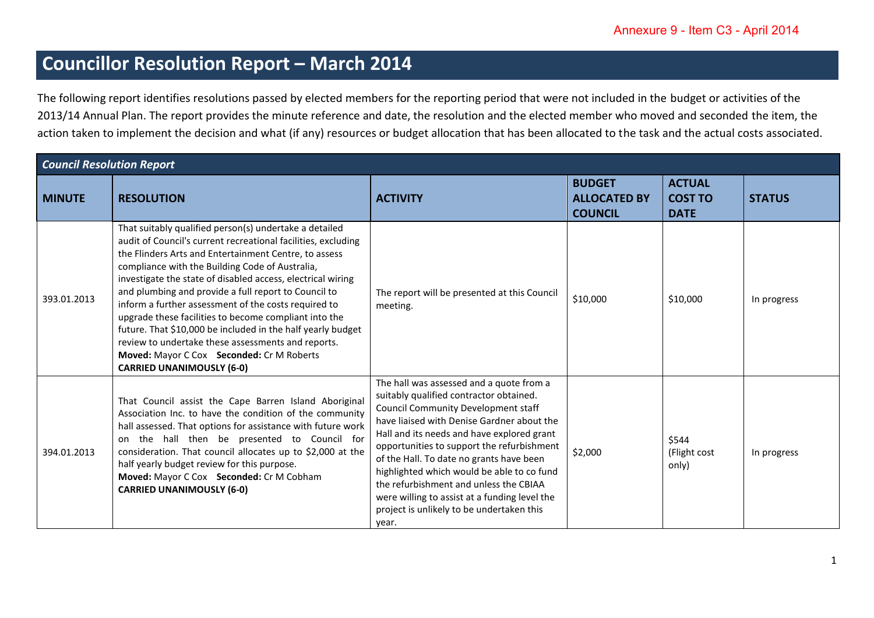## **Councillor Resolution Report – March 2014**

The following report identifies resolutions passed by elected members for the reporting period that were not included in the budget or activities of the 2013/14 Annual Plan. The report provides the minute reference and date, the resolution and the elected member who moved and seconded the item, the action taken to implement the decision and what (if any) resources or budget allocation that has been allocated to the task and the actual costs associated.

| <b>Council Resolution Report</b> |                                                                                                                                                                                                                                                                                                                                                                                                                                                                                                                                                                                                                                                                                   |                                                                                                                                                                                                                                                                                                                                                                                                                                                                                                                        |                                                        |                                                |               |
|----------------------------------|-----------------------------------------------------------------------------------------------------------------------------------------------------------------------------------------------------------------------------------------------------------------------------------------------------------------------------------------------------------------------------------------------------------------------------------------------------------------------------------------------------------------------------------------------------------------------------------------------------------------------------------------------------------------------------------|------------------------------------------------------------------------------------------------------------------------------------------------------------------------------------------------------------------------------------------------------------------------------------------------------------------------------------------------------------------------------------------------------------------------------------------------------------------------------------------------------------------------|--------------------------------------------------------|------------------------------------------------|---------------|
| <b>MINUTE</b>                    | <b>RESOLUTION</b>                                                                                                                                                                                                                                                                                                                                                                                                                                                                                                                                                                                                                                                                 | <b>ACTIVITY</b>                                                                                                                                                                                                                                                                                                                                                                                                                                                                                                        | <b>BUDGET</b><br><b>ALLOCATED BY</b><br><b>COUNCIL</b> | <b>ACTUAL</b><br><b>COST TO</b><br><b>DATE</b> | <b>STATUS</b> |
| 393.01.2013                      | That suitably qualified person(s) undertake a detailed<br>audit of Council's current recreational facilities, excluding<br>the Flinders Arts and Entertainment Centre, to assess<br>compliance with the Building Code of Australia,<br>investigate the state of disabled access, electrical wiring<br>and plumbing and provide a full report to Council to<br>inform a further assessment of the costs required to<br>upgrade these facilities to become compliant into the<br>future. That \$10,000 be included in the half yearly budget<br>review to undertake these assessments and reports.<br>Moved: Mayor C Cox Seconded: Cr M Roberts<br><b>CARRIED UNANIMOUSLY (6-0)</b> | The report will be presented at this Council<br>meeting.                                                                                                                                                                                                                                                                                                                                                                                                                                                               | \$10,000                                               | \$10,000                                       | In progress   |
| 394.01.2013                      | That Council assist the Cape Barren Island Aboriginal<br>Association Inc. to have the condition of the community<br>hall assessed. That options for assistance with future work<br>on the hall then be presented to Council for<br>consideration. That council allocates up to \$2,000 at the<br>half yearly budget review for this purpose.<br>Moved: Mayor C Cox Seconded: Cr M Cobham<br><b>CARRIED UNANIMOUSLY (6-0)</b>                                                                                                                                                                                                                                                      | The hall was assessed and a quote from a<br>suitably qualified contractor obtained.<br><b>Council Community Development staff</b><br>have liaised with Denise Gardner about the<br>Hall and its needs and have explored grant<br>opportunities to support the refurbishment<br>of the Hall. To date no grants have been<br>highlighted which would be able to co fund<br>the refurbishment and unless the CBIAA<br>were willing to assist at a funding level the<br>project is unlikely to be undertaken this<br>year. | \$2,000                                                | \$544<br>(Flight cost<br>only)                 | In progress   |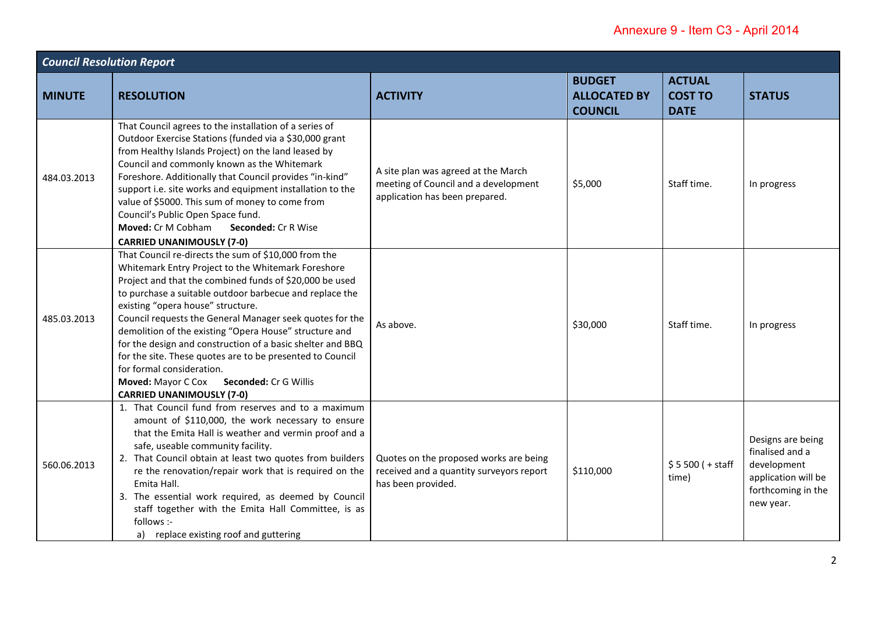| <b>Council Resolution Report</b> |                                                                                                                                                                                                                                                                                                                                                                                                                                                                                                                                                                                                                                     |                                                                                                               |                                                        |                                                |                                                                                                               |  |
|----------------------------------|-------------------------------------------------------------------------------------------------------------------------------------------------------------------------------------------------------------------------------------------------------------------------------------------------------------------------------------------------------------------------------------------------------------------------------------------------------------------------------------------------------------------------------------------------------------------------------------------------------------------------------------|---------------------------------------------------------------------------------------------------------------|--------------------------------------------------------|------------------------------------------------|---------------------------------------------------------------------------------------------------------------|--|
| <b>MINUTE</b>                    | <b>RESOLUTION</b>                                                                                                                                                                                                                                                                                                                                                                                                                                                                                                                                                                                                                   | <b>ACTIVITY</b>                                                                                               | <b>BUDGET</b><br><b>ALLOCATED BY</b><br><b>COUNCIL</b> | <b>ACTUAL</b><br><b>COST TO</b><br><b>DATE</b> | <b>STATUS</b>                                                                                                 |  |
| 484.03.2013                      | That Council agrees to the installation of a series of<br>Outdoor Exercise Stations (funded via a \$30,000 grant<br>from Healthy Islands Project) on the land leased by<br>Council and commonly known as the Whitemark<br>Foreshore. Additionally that Council provides "in-kind"<br>support i.e. site works and equipment installation to the<br>value of \$5000. This sum of money to come from<br>Council's Public Open Space fund.<br>Moved: Cr M Cobham<br>Seconded: Cr R Wise<br><b>CARRIED UNANIMOUSLY (7-0)</b>                                                                                                             | A site plan was agreed at the March<br>meeting of Council and a development<br>application has been prepared. | \$5,000                                                | Staff time.                                    | In progress                                                                                                   |  |
| 485.03.2013                      | That Council re-directs the sum of \$10,000 from the<br>Whitemark Entry Project to the Whitemark Foreshore<br>Project and that the combined funds of \$20,000 be used<br>to purchase a suitable outdoor barbecue and replace the<br>existing "opera house" structure.<br>Council requests the General Manager seek quotes for the<br>demolition of the existing "Opera House" structure and<br>for the design and construction of a basic shelter and BBQ<br>for the site. These quotes are to be presented to Council<br>for formal consideration.<br>Moved: Mayor C Cox Seconded: Cr G Willis<br><b>CARRIED UNANIMOUSLY (7-0)</b> | As above.                                                                                                     | \$30,000                                               | Staff time.                                    | In progress                                                                                                   |  |
| 560.06.2013                      | 1. That Council fund from reserves and to a maximum<br>amount of \$110,000, the work necessary to ensure<br>that the Emita Hall is weather and vermin proof and a<br>safe, useable community facility.<br>2. That Council obtain at least two quotes from builders<br>re the renovation/repair work that is required on the<br>Emita Hall.<br>3. The essential work required, as deemed by Council<br>staff together with the Emita Hall Committee, is as<br>follows :-<br>a) replace existing roof and guttering                                                                                                                   | Quotes on the proposed works are being<br>received and a quantity surveyors report<br>has been provided.      | \$110,000                                              | $$5500 (+ statf)$<br>time)                     | Designs are being<br>finalised and a<br>development<br>application will be<br>forthcoming in the<br>new year. |  |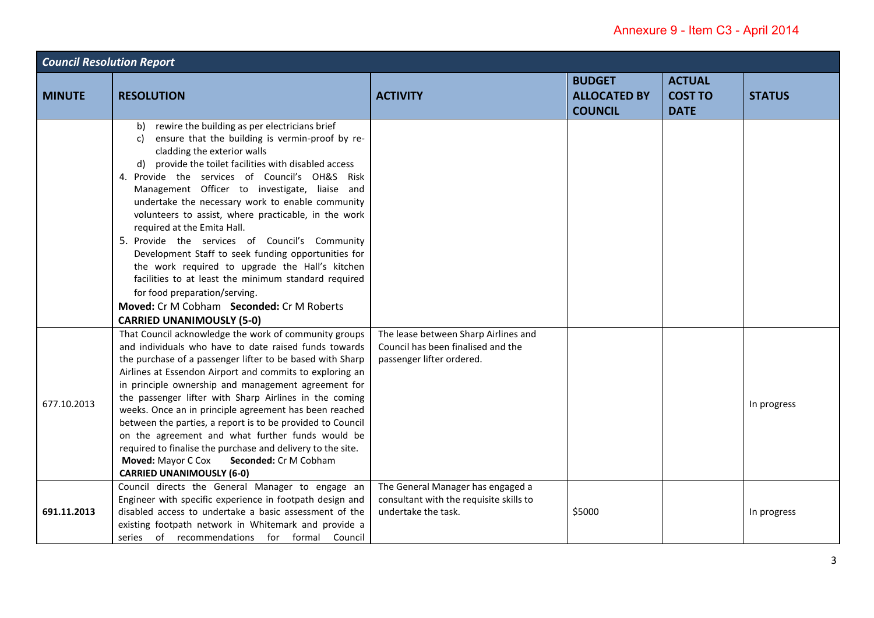| <b>Council Resolution Report</b> |                                                                                                                                                                                                                                                                                                                                                                                                                                                                                                                                                                                                                                                                                                                                                                                             |                                                                                                         |                                                        |                                                |               |
|----------------------------------|---------------------------------------------------------------------------------------------------------------------------------------------------------------------------------------------------------------------------------------------------------------------------------------------------------------------------------------------------------------------------------------------------------------------------------------------------------------------------------------------------------------------------------------------------------------------------------------------------------------------------------------------------------------------------------------------------------------------------------------------------------------------------------------------|---------------------------------------------------------------------------------------------------------|--------------------------------------------------------|------------------------------------------------|---------------|
| <b>MINUTE</b>                    | <b>RESOLUTION</b>                                                                                                                                                                                                                                                                                                                                                                                                                                                                                                                                                                                                                                                                                                                                                                           | <b>ACTIVITY</b>                                                                                         | <b>BUDGET</b><br><b>ALLOCATED BY</b><br><b>COUNCIL</b> | <b>ACTUAL</b><br><b>COST TO</b><br><b>DATE</b> | <b>STATUS</b> |
|                                  | rewire the building as per electricians brief<br>b)<br>ensure that the building is vermin-proof by re-<br>C)<br>cladding the exterior walls<br>provide the toilet facilities with disabled access<br>d)<br>4. Provide the services of Council's OH&S Risk<br>Management Officer to investigate, liaise and<br>undertake the necessary work to enable community<br>volunteers to assist, where practicable, in the work<br>required at the Emita Hall.<br>5. Provide the services of Council's Community<br>Development Staff to seek funding opportunities for<br>the work required to upgrade the Hall's kitchen<br>facilities to at least the minimum standard required<br>for food preparation/serving.<br>Moved: Cr M Cobham Seconded: Cr M Roberts<br><b>CARRIED UNANIMOUSLY (5-0)</b> |                                                                                                         |                                                        |                                                |               |
| 677.10.2013                      | That Council acknowledge the work of community groups<br>and individuals who have to date raised funds towards<br>the purchase of a passenger lifter to be based with Sharp<br>Airlines at Essendon Airport and commits to exploring an<br>in principle ownership and management agreement for<br>the passenger lifter with Sharp Airlines in the coming<br>weeks. Once an in principle agreement has been reached<br>between the parties, a report is to be provided to Council<br>on the agreement and what further funds would be<br>required to finalise the purchase and delivery to the site.<br>Moved: Mayor C Cox<br>Seconded: Cr M Cobham<br><b>CARRIED UNANIMOUSLY (6-0)</b>                                                                                                      | The lease between Sharp Airlines and<br>Council has been finalised and the<br>passenger lifter ordered. |                                                        |                                                | In progress   |
| 691.11.2013                      | Council directs the General Manager to engage an<br>Engineer with specific experience in footpath design and<br>disabled access to undertake a basic assessment of the<br>existing footpath network in Whitemark and provide a<br>series of recommendations for formal Council                                                                                                                                                                                                                                                                                                                                                                                                                                                                                                              | The General Manager has engaged a<br>consultant with the requisite skills to<br>undertake the task.     | \$5000                                                 |                                                | In progress   |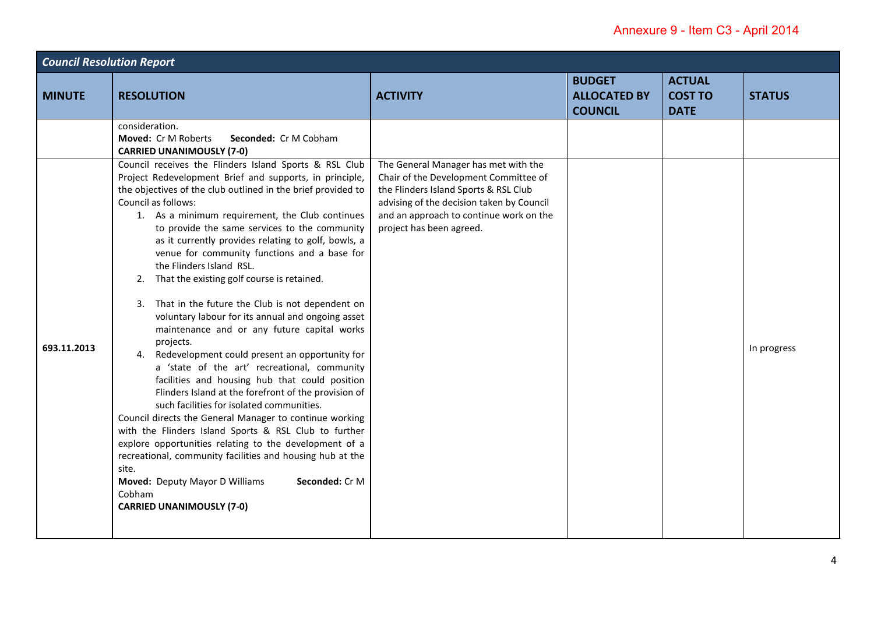| <b>Council Resolution Report</b> |                                                                                                                                                                                                                                                                                                                                                                                                                                                                                                                                                                                                                                                                                                                                                                                                                                                                                                                                                                                                                                                                                                                                                                                                                                                                                              |                                                                                                                                                                                                                                            |                                                        |                                                |               |  |
|----------------------------------|----------------------------------------------------------------------------------------------------------------------------------------------------------------------------------------------------------------------------------------------------------------------------------------------------------------------------------------------------------------------------------------------------------------------------------------------------------------------------------------------------------------------------------------------------------------------------------------------------------------------------------------------------------------------------------------------------------------------------------------------------------------------------------------------------------------------------------------------------------------------------------------------------------------------------------------------------------------------------------------------------------------------------------------------------------------------------------------------------------------------------------------------------------------------------------------------------------------------------------------------------------------------------------------------|--------------------------------------------------------------------------------------------------------------------------------------------------------------------------------------------------------------------------------------------|--------------------------------------------------------|------------------------------------------------|---------------|--|
| <b>MINUTE</b>                    | <b>RESOLUTION</b>                                                                                                                                                                                                                                                                                                                                                                                                                                                                                                                                                                                                                                                                                                                                                                                                                                                                                                                                                                                                                                                                                                                                                                                                                                                                            | <b>ACTIVITY</b>                                                                                                                                                                                                                            | <b>BUDGET</b><br><b>ALLOCATED BY</b><br><b>COUNCIL</b> | <b>ACTUAL</b><br><b>COST TO</b><br><b>DATE</b> | <b>STATUS</b> |  |
|                                  | consideration.<br>Moved: Cr M Roberts<br>Seconded: Cr M Cobham<br><b>CARRIED UNANIMOUSLY (7-0)</b>                                                                                                                                                                                                                                                                                                                                                                                                                                                                                                                                                                                                                                                                                                                                                                                                                                                                                                                                                                                                                                                                                                                                                                                           |                                                                                                                                                                                                                                            |                                                        |                                                |               |  |
| 693.11.2013                      | Council receives the Flinders Island Sports & RSL Club<br>Project Redevelopment Brief and supports, in principle,<br>the objectives of the club outlined in the brief provided to<br>Council as follows:<br>1. As a minimum requirement, the Club continues<br>to provide the same services to the community<br>as it currently provides relating to golf, bowls, a<br>venue for community functions and a base for<br>the Flinders Island RSL.<br>That the existing golf course is retained.<br>2.<br>3. That in the future the Club is not dependent on<br>voluntary labour for its annual and ongoing asset<br>maintenance and or any future capital works<br>projects.<br>4. Redevelopment could present an opportunity for<br>a 'state of the art' recreational, community<br>facilities and housing hub that could position<br>Flinders Island at the forefront of the provision of<br>such facilities for isolated communities.<br>Council directs the General Manager to continue working<br>with the Flinders Island Sports & RSL Club to further<br>explore opportunities relating to the development of a<br>recreational, community facilities and housing hub at the<br>site.<br>Moved: Deputy Mayor D Williams<br>Seconded: Cr M<br>Cobham<br><b>CARRIED UNANIMOUSLY (7-0)</b> | The General Manager has met with the<br>Chair of the Development Committee of<br>the Flinders Island Sports & RSL Club<br>advising of the decision taken by Council<br>and an approach to continue work on the<br>project has been agreed. |                                                        |                                                | In progress   |  |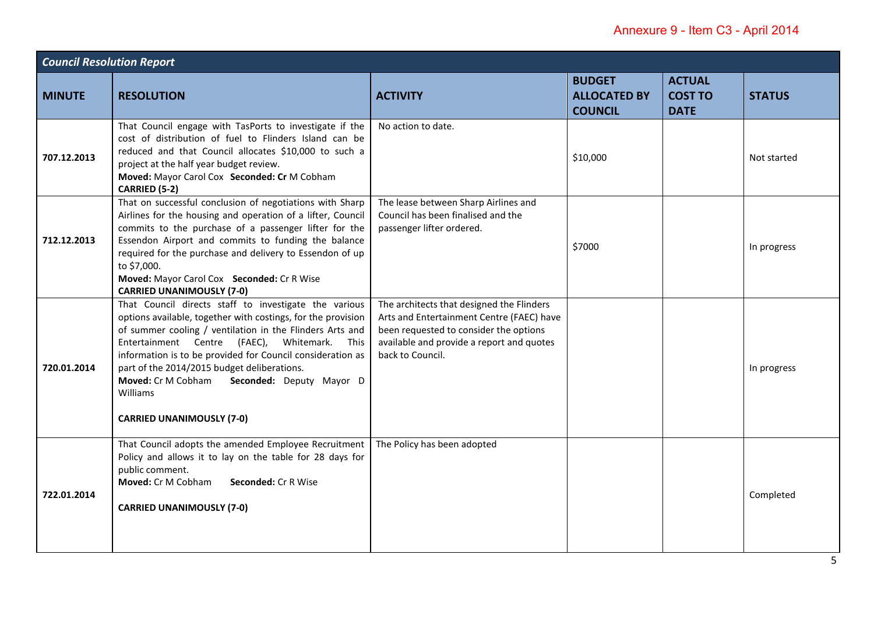| <b>Council Resolution Report</b> |                                                                                                                                                                                                                                                                                                                                                                                                                                                     |                                                                                                                                                                                                   |                                                        |                                                |               |
|----------------------------------|-----------------------------------------------------------------------------------------------------------------------------------------------------------------------------------------------------------------------------------------------------------------------------------------------------------------------------------------------------------------------------------------------------------------------------------------------------|---------------------------------------------------------------------------------------------------------------------------------------------------------------------------------------------------|--------------------------------------------------------|------------------------------------------------|---------------|
| <b>MINUTE</b>                    | <b>RESOLUTION</b>                                                                                                                                                                                                                                                                                                                                                                                                                                   | <b>ACTIVITY</b>                                                                                                                                                                                   | <b>BUDGET</b><br><b>ALLOCATED BY</b><br><b>COUNCIL</b> | <b>ACTUAL</b><br><b>COST TO</b><br><b>DATE</b> | <b>STATUS</b> |
| 707.12.2013                      | That Council engage with TasPorts to investigate if the<br>cost of distribution of fuel to Flinders Island can be<br>reduced and that Council allocates \$10,000 to such a<br>project at the half year budget review.<br>Moved: Mayor Carol Cox Seconded: Cr M Cobham<br>CARRIED (5-2)                                                                                                                                                              | No action to date.                                                                                                                                                                                | \$10,000                                               |                                                | Not started   |
| 712.12.2013                      | That on successful conclusion of negotiations with Sharp<br>Airlines for the housing and operation of a lifter, Council<br>commits to the purchase of a passenger lifter for the<br>Essendon Airport and commits to funding the balance<br>required for the purchase and delivery to Essendon of up<br>to \$7,000.<br>Moved: Mayor Carol Cox Seconded: Cr R Wise<br><b>CARRIED UNANIMOUSLY (7-0)</b>                                                | The lease between Sharp Airlines and<br>Council has been finalised and the<br>passenger lifter ordered.                                                                                           | \$7000                                                 |                                                | In progress   |
| 720.01.2014                      | That Council directs staff to investigate the various<br>options available, together with costings, for the provision<br>of summer cooling / ventilation in the Flinders Arts and<br>Entertainment Centre (FAEC), Whitemark.<br>This<br>information is to be provided for Council consideration as<br>part of the 2014/2015 budget deliberations.<br>Moved: Cr M Cobham<br>Seconded: Deputy Mayor D<br>Williams<br><b>CARRIED UNANIMOUSLY (7-0)</b> | The architects that designed the Flinders<br>Arts and Entertainment Centre (FAEC) have<br>been requested to consider the options<br>available and provide a report and quotes<br>back to Council. |                                                        |                                                | In progress   |
| 722.01.2014                      | That Council adopts the amended Employee Recruitment<br>Policy and allows it to lay on the table for 28 days for<br>public comment.<br>Moved: Cr M Cobham<br>Seconded: Cr R Wise<br><b>CARRIED UNANIMOUSLY (7-0)</b>                                                                                                                                                                                                                                | The Policy has been adopted                                                                                                                                                                       |                                                        |                                                | Completed     |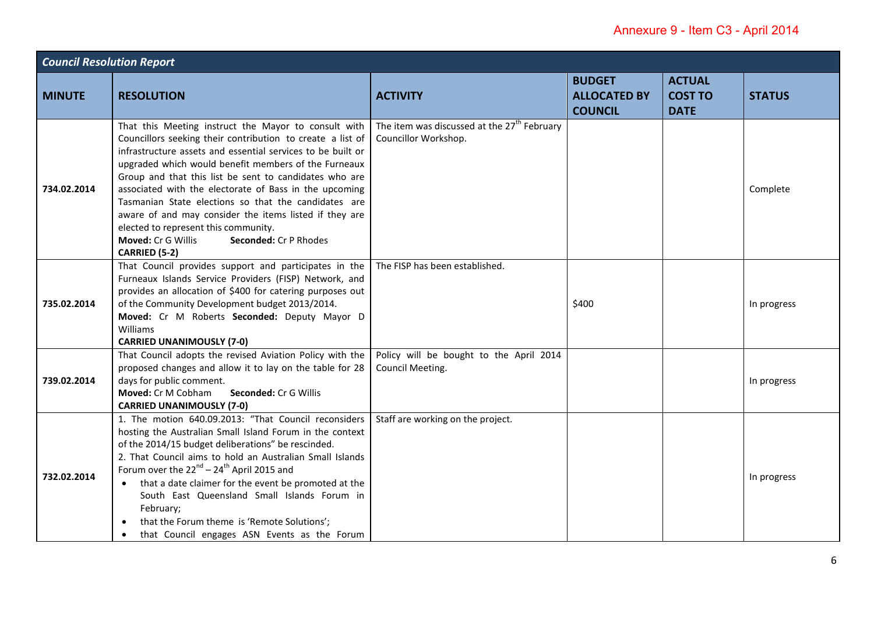| <b>Council Resolution Report</b> |                                                                                                                                                                                                                                                                                                                                                                                                                                                                                                                                                                                         |                                                                                 |                                                        |                                                |               |  |
|----------------------------------|-----------------------------------------------------------------------------------------------------------------------------------------------------------------------------------------------------------------------------------------------------------------------------------------------------------------------------------------------------------------------------------------------------------------------------------------------------------------------------------------------------------------------------------------------------------------------------------------|---------------------------------------------------------------------------------|--------------------------------------------------------|------------------------------------------------|---------------|--|
| <b>MINUTE</b>                    | <b>RESOLUTION</b>                                                                                                                                                                                                                                                                                                                                                                                                                                                                                                                                                                       | <b>ACTIVITY</b>                                                                 | <b>BUDGET</b><br><b>ALLOCATED BY</b><br><b>COUNCIL</b> | <b>ACTUAL</b><br><b>COST TO</b><br><b>DATE</b> | <b>STATUS</b> |  |
| 734.02.2014                      | That this Meeting instruct the Mayor to consult with<br>Councillors seeking their contribution to create a list of<br>infrastructure assets and essential services to be built or<br>upgraded which would benefit members of the Furneaux<br>Group and that this list be sent to candidates who are<br>associated with the electorate of Bass in the upcoming<br>Tasmanian State elections so that the candidates are<br>aware of and may consider the items listed if they are<br>elected to represent this community.<br>Moved: Cr G Willis<br>Seconded: Cr P Rhodes<br>CARRIED (5-2) | The item was discussed at the 27 <sup>th</sup> February<br>Councillor Workshop. |                                                        |                                                | Complete      |  |
| 735.02.2014                      | That Council provides support and participates in the<br>Furneaux Islands Service Providers (FISP) Network, and<br>provides an allocation of \$400 for catering purposes out<br>of the Community Development budget 2013/2014.<br>Moved: Cr M Roberts Seconded: Deputy Mayor D<br>Williams<br><b>CARRIED UNANIMOUSLY (7-0)</b>                                                                                                                                                                                                                                                          | The FISP has been established.                                                  | \$400                                                  |                                                | In progress   |  |
| 739.02.2014                      | That Council adopts the revised Aviation Policy with the<br>proposed changes and allow it to lay on the table for 28<br>days for public comment.<br>Moved: Cr M Cobham<br>Seconded: Cr G Willis<br><b>CARRIED UNANIMOUSLY (7-0)</b>                                                                                                                                                                                                                                                                                                                                                     | Policy will be bought to the April 2014<br>Council Meeting.                     |                                                        |                                                | In progress   |  |
| 732.02.2014                      | 1. The motion 640.09.2013: "That Council reconsiders<br>hosting the Australian Small Island Forum in the context<br>of the 2014/15 budget deliberations" be rescinded.<br>2. That Council aims to hold an Australian Small Islands<br>Forum over the $22^{nd}$ – $24^{th}$ April 2015 and<br>• that a date claimer for the event be promoted at the<br>South East Queensland Small Islands Forum in<br>February;<br>that the Forum theme is 'Remote Solutions';<br>that Council engages ASN Events as the Forum<br>$\bullet$                                                            | Staff are working on the project.                                               |                                                        |                                                | In progress   |  |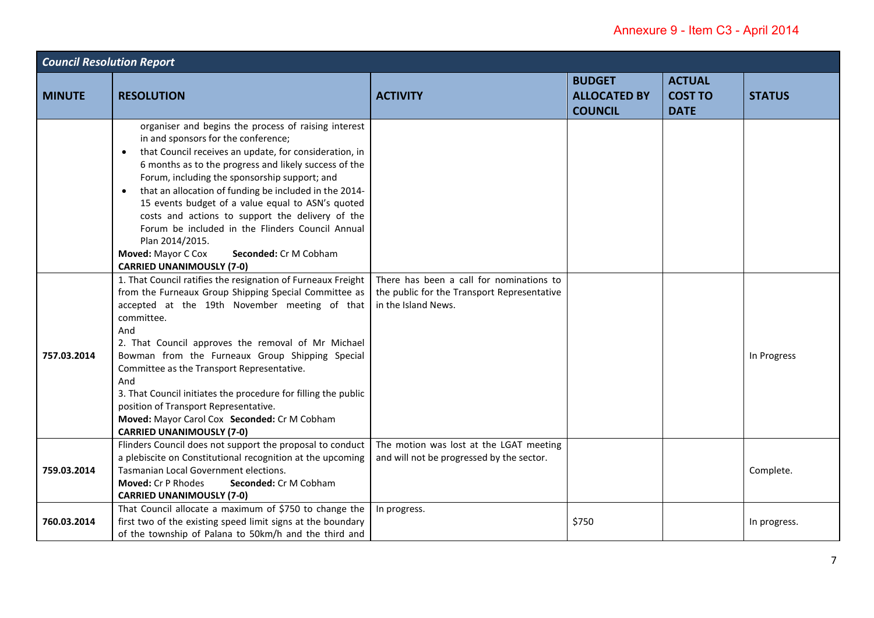| <b>Council Resolution Report</b> |                                                                                                                                                                                                                                                                                                                                                                                                                                                                                                                                                                                                                        |                                                                                                                |                                                        |                                                |               |
|----------------------------------|------------------------------------------------------------------------------------------------------------------------------------------------------------------------------------------------------------------------------------------------------------------------------------------------------------------------------------------------------------------------------------------------------------------------------------------------------------------------------------------------------------------------------------------------------------------------------------------------------------------------|----------------------------------------------------------------------------------------------------------------|--------------------------------------------------------|------------------------------------------------|---------------|
| <b>MINUTE</b>                    | <b>RESOLUTION</b>                                                                                                                                                                                                                                                                                                                                                                                                                                                                                                                                                                                                      | <b>ACTIVITY</b>                                                                                                | <b>BUDGET</b><br><b>ALLOCATED BY</b><br><b>COUNCIL</b> | <b>ACTUAL</b><br><b>COST TO</b><br><b>DATE</b> | <b>STATUS</b> |
|                                  | organiser and begins the process of raising interest<br>in and sponsors for the conference;<br>that Council receives an update, for consideration, in<br>$\bullet$<br>6 months as to the progress and likely success of the<br>Forum, including the sponsorship support; and<br>that an allocation of funding be included in the 2014-<br>$\bullet$<br>15 events budget of a value equal to ASN's quoted<br>costs and actions to support the delivery of the<br>Forum be included in the Flinders Council Annual<br>Plan 2014/2015.<br>Moved: Mayor C Cox<br>Seconded: Cr M Cobham<br><b>CARRIED UNANIMOUSLY (7-0)</b> |                                                                                                                |                                                        |                                                |               |
| 757.03.2014                      | 1. That Council ratifies the resignation of Furneaux Freight<br>from the Furneaux Group Shipping Special Committee as<br>accepted at the 19th November meeting of that<br>committee.<br>And<br>2. That Council approves the removal of Mr Michael<br>Bowman from the Furneaux Group Shipping Special<br>Committee as the Transport Representative.<br>And<br>3. That Council initiates the procedure for filling the public<br>position of Transport Representative.<br>Moved: Mayor Carol Cox Seconded: Cr M Cobham<br><b>CARRIED UNANIMOUSLY (7-0)</b>                                                               | There has been a call for nominations to<br>the public for the Transport Representative<br>in the Island News. |                                                        |                                                | In Progress   |
| 759.03.2014                      | Flinders Council does not support the proposal to conduct<br>a plebiscite on Constitutional recognition at the upcoming<br>Tasmanian Local Government elections.<br>Moved: Cr P Rhodes<br>Seconded: Cr M Cobham<br><b>CARRIED UNANIMOUSLY (7-0)</b>                                                                                                                                                                                                                                                                                                                                                                    | The motion was lost at the LGAT meeting<br>and will not be progressed by the sector.                           |                                                        |                                                | Complete.     |
| 760.03.2014                      | That Council allocate a maximum of \$750 to change the<br>first two of the existing speed limit signs at the boundary<br>of the township of Palana to 50km/h and the third and                                                                                                                                                                                                                                                                                                                                                                                                                                         | In progress.                                                                                                   | \$750                                                  |                                                | In progress.  |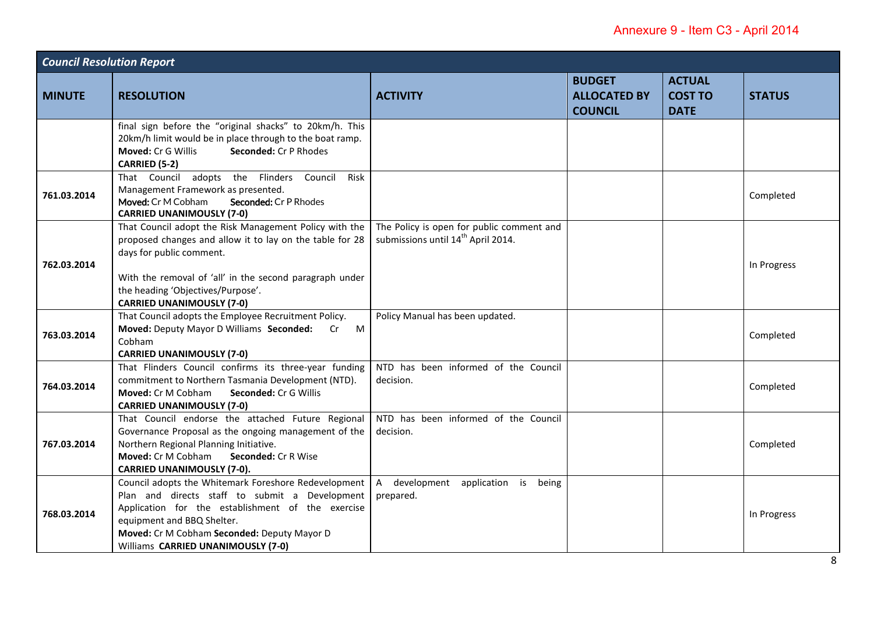| <b>Council Resolution Report</b> |                                                                                                                                                                                                                                                                                    |                                                                                             |                                                        |                                                |               |  |
|----------------------------------|------------------------------------------------------------------------------------------------------------------------------------------------------------------------------------------------------------------------------------------------------------------------------------|---------------------------------------------------------------------------------------------|--------------------------------------------------------|------------------------------------------------|---------------|--|
| <b>MINUTE</b>                    | <b>RESOLUTION</b>                                                                                                                                                                                                                                                                  | <b>ACTIVITY</b>                                                                             | <b>BUDGET</b><br><b>ALLOCATED BY</b><br><b>COUNCIL</b> | <b>ACTUAL</b><br><b>COST TO</b><br><b>DATE</b> | <b>STATUS</b> |  |
|                                  | final sign before the "original shacks" to 20km/h. This<br>20km/h limit would be in place through to the boat ramp.<br>Seconded: Cr P Rhodes<br>Moved: Cr G Willis<br>CARRIED (5-2)                                                                                                |                                                                                             |                                                        |                                                |               |  |
| 761.03.2014                      | That Council adopts the Flinders Council<br>Risk<br>Management Framework as presented.<br>Moved: Cr M Cobham<br>Seconded: Cr P Rhodes<br><b>CARRIED UNANIMOUSLY (7-0)</b>                                                                                                          |                                                                                             |                                                        |                                                | Completed     |  |
| 762.03.2014                      | That Council adopt the Risk Management Policy with the<br>proposed changes and allow it to lay on the table for 28<br>days for public comment.<br>With the removal of 'all' in the second paragraph under<br>the heading 'Objectives/Purpose'.<br><b>CARRIED UNANIMOUSLY (7-0)</b> | The Policy is open for public comment and<br>submissions until 14 <sup>th</sup> April 2014. |                                                        |                                                | In Progress   |  |
| 763.03.2014                      | That Council adopts the Employee Recruitment Policy.<br>Moved: Deputy Mayor D Williams Seconded: Cr M<br>Cobham<br><b>CARRIED UNANIMOUSLY (7-0)</b>                                                                                                                                | Policy Manual has been updated.                                                             |                                                        |                                                | Completed     |  |
| 764.03.2014                      | That Flinders Council confirms its three-year funding<br>commitment to Northern Tasmania Development (NTD).<br>Moved: Cr M Cobham<br>Seconded: Cr G Willis<br><b>CARRIED UNANIMOUSLY (7-0)</b>                                                                                     | NTD has been informed of the Council<br>decision.                                           |                                                        |                                                | Completed     |  |
| 767.03.2014                      | That Council endorse the attached Future Regional<br>Governance Proposal as the ongoing management of the<br>Northern Regional Planning Initiative.<br>Moved: Cr M Cobham<br>Seconded: Cr R Wise<br><b>CARRIED UNANIMOUSLY (7-0).</b>                                              | NTD has been informed of the Council<br>decision.                                           |                                                        |                                                | Completed     |  |
| 768.03.2014                      | Council adopts the Whitemark Foreshore Redevelopment<br>Plan and directs staff to submit a Development<br>Application for the establishment of the exercise<br>equipment and BBQ Shelter.<br>Moved: Cr M Cobham Seconded: Deputy Mayor D<br>Williams CARRIED UNANIMOUSLY (7-0)     | A development application is being<br>prepared.                                             |                                                        |                                                | In Progress   |  |